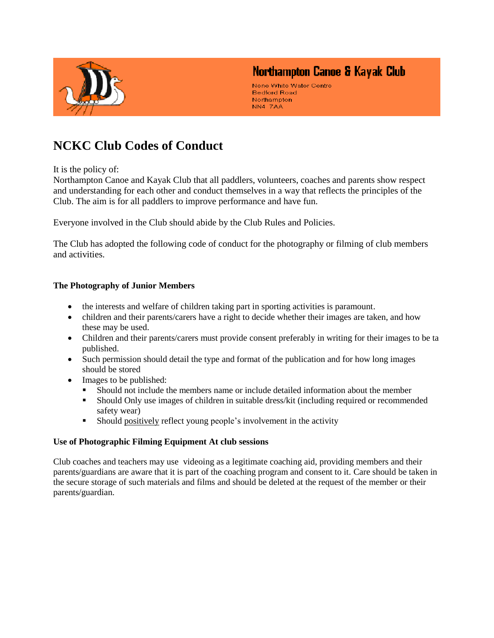

# Northampton Canoe & Kayak Club

Nene White Water Centre **Bedford Road** Northampton NN4 7AA

# **NCKC Club Codes of Conduct**

It is the policy of:

Northampton Canoe and Kayak Club that all paddlers, volunteers, coaches and parents show respect and understanding for each other and conduct themselves in a way that reflects the principles of the Club. The aim is for all paddlers to improve performance and have fun.

Everyone involved in the Club should abide by the Club Rules and Policies.

The Club has adopted the following code of conduct for the photography or filming of club members and activities.

### **The Photography of Junior Members**

- the interests and welfare of children taking part in sporting activities is paramount.
- children and their parents/carers have a right to decide whether their images are taken, and how these may be used.
- Children and their parents/carers must provide consent preferably in writing for their images to be ta published.
- Such permission should detail the type and format of the publication and for how long images should be stored
- Images to be published:
	- Should not include the members name or include detailed information about the member
	- Should Only use images of children in suitable dress/kit (including required or recommended safety wear)
	- **Should positively reflect young people's involvement in the activity**

#### **Use of Photographic Filming Equipment At club sessions**

Club coaches and teachers may use videoing as a legitimate coaching aid, providing members and their parents/guardians are aware that it is part of the coaching program and consent to it. Care should be taken in the secure storage of such materials and films and should be deleted at the request of the member or their parents/guardian.